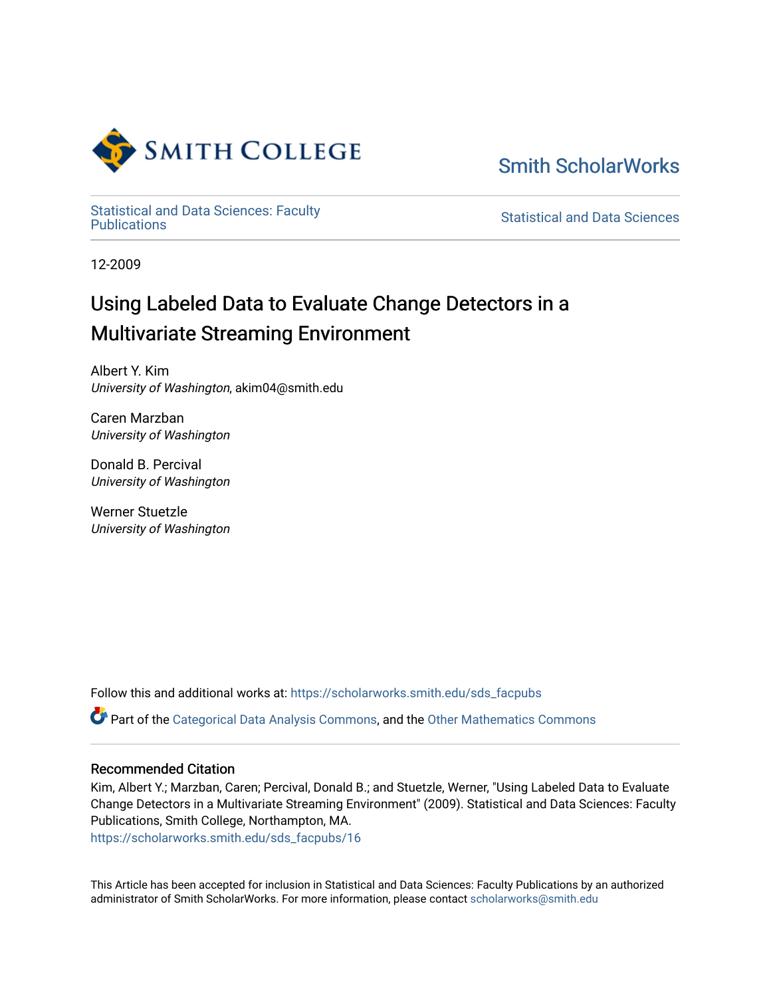

[Smith ScholarWorks](https://scholarworks.smith.edu/) 

Statistical and Data Sciences: Faculty<br>Publications

**Statistical and Data Sciences** 

12-2009

# Using Labeled Data to Evaluate Change Detectors in a Multivariate Streaming Environment

Albert Y. Kim University of Washington, akim04@smith.edu

Caren Marzban University of Washington

Donald B. Percival University of Washington

Werner Stuetzle University of Washington

Follow this and additional works at: [https://scholarworks.smith.edu/sds\\_facpubs](https://scholarworks.smith.edu/sds_facpubs?utm_source=scholarworks.smith.edu%2Fsds_facpubs%2F16&utm_medium=PDF&utm_campaign=PDFCoverPages)

Part of the [Categorical Data Analysis Commons,](http://network.bepress.com/hgg/discipline/817?utm_source=scholarworks.smith.edu%2Fsds_facpubs%2F16&utm_medium=PDF&utm_campaign=PDFCoverPages) and the [Other Mathematics Commons](http://network.bepress.com/hgg/discipline/185?utm_source=scholarworks.smith.edu%2Fsds_facpubs%2F16&utm_medium=PDF&utm_campaign=PDFCoverPages) 

## Recommended Citation

Kim, Albert Y.; Marzban, Caren; Percival, Donald B.; and Stuetzle, Werner, "Using Labeled Data to Evaluate Change Detectors in a Multivariate Streaming Environment" (2009). Statistical and Data Sciences: Faculty Publications, Smith College, Northampton, MA.

[https://scholarworks.smith.edu/sds\\_facpubs/16](https://scholarworks.smith.edu/sds_facpubs/16?utm_source=scholarworks.smith.edu%2Fsds_facpubs%2F16&utm_medium=PDF&utm_campaign=PDFCoverPages) 

This Article has been accepted for inclusion in Statistical and Data Sciences: Faculty Publications by an authorized administrator of Smith ScholarWorks. For more information, please contact [scholarworks@smith.edu](mailto:scholarworks@smith.edu)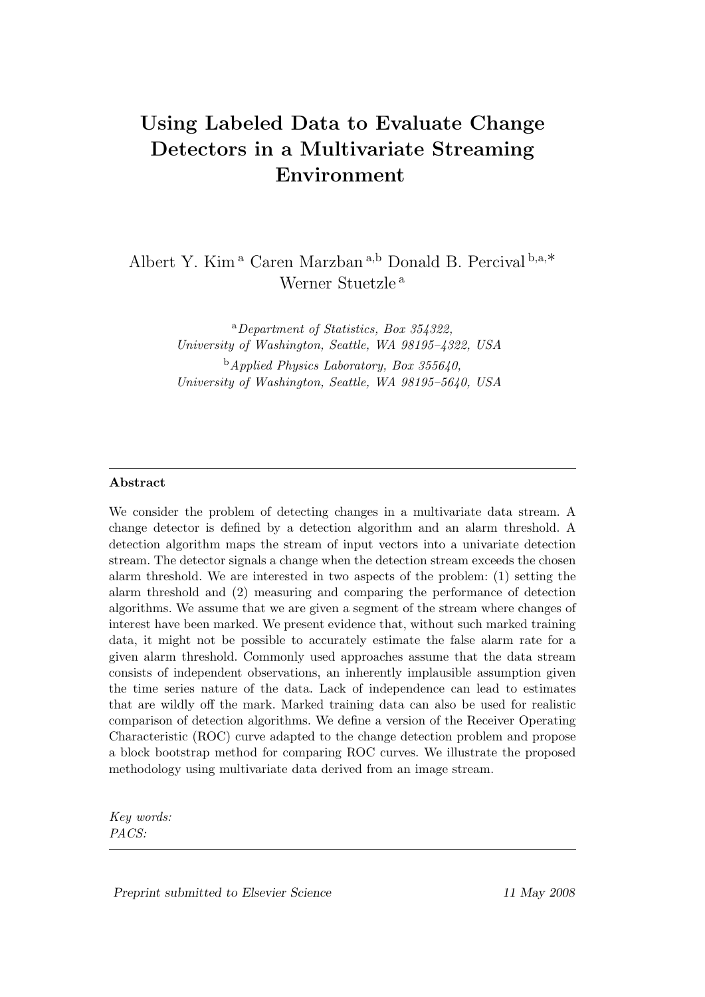## Using Labeled Data to Evaluate Change Detectors in a Multivariate Streaming Environment

Albert Y. Kim <sup>a</sup> Caren Marzban <sup>a</sup>,<sup>b</sup> Donald B. Percival <sup>b</sup>,a,∗ Werner Stuetzle <sup>a</sup>

> <sup>a</sup>Department of Statistics, Box 354322, University of Washington, Seattle, WA 98195–4322, USA  $<sup>b</sup>$ *Applied Physics Laboratory, Box 355640.*</sup> University of Washington, Seattle, WA 98195–5640, USA

#### Abstract

We consider the problem of detecting changes in a multivariate data stream. A change detector is defined by a detection algorithm and an alarm threshold. A detection algorithm maps the stream of input vectors into a univariate detection stream. The detector signals a change when the detection stream exceeds the chosen alarm threshold. We are interested in two aspects of the problem: (1) setting the alarm threshold and (2) measuring and comparing the performance of detection algorithms. We assume that we are given a segment of the stream where changes of interest have been marked. We present evidence that, without such marked training data, it might not be possible to accurately estimate the false alarm rate for a given alarm threshold. Commonly used approaches assume that the data stream consists of independent observations, an inherently implausible assumption given the time series nature of the data. Lack of independence can lead to estimates that are wildly off the mark. Marked training data can also be used for realistic comparison of detection algorithms. We define a version of the Receiver Operating Characteristic (ROC) curve adapted to the change detection problem and propose a block bootstrap method for comparing ROC curves. We illustrate the proposed methodology using multivariate data derived from an image stream.

Key words: PACS: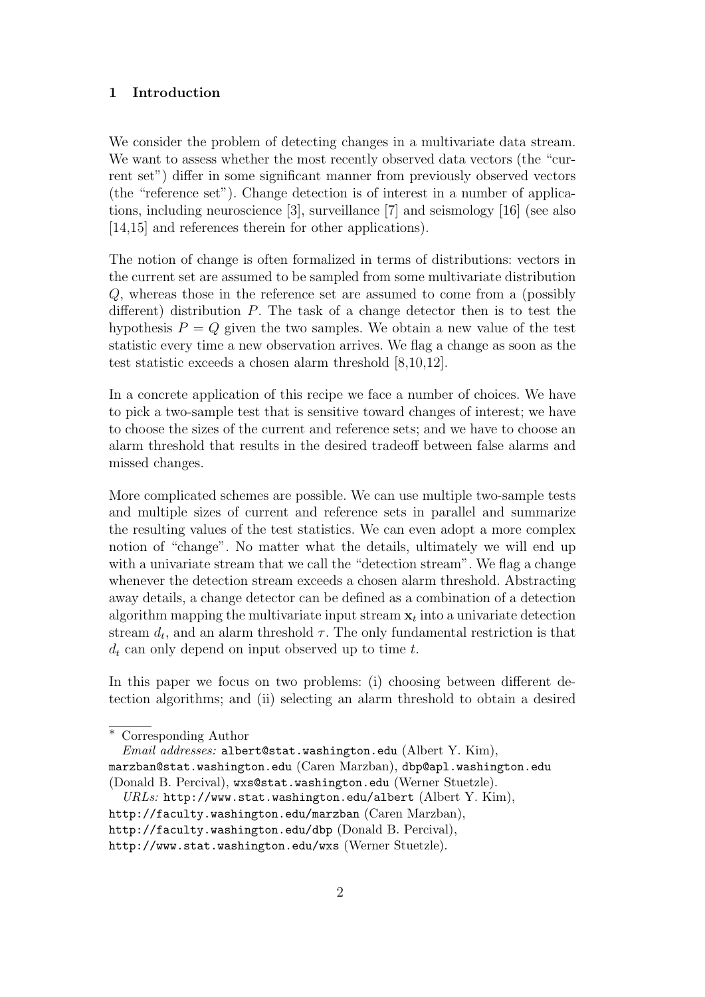#### 1 Introduction

We consider the problem of detecting changes in a multivariate data stream. We want to assess whether the most recently observed data vectors (the "current set") differ in some significant manner from previously observed vectors (the "reference set"). Change detection is of interest in a number of applications, including neuroscience [3], surveillance [7] and seismology [16] (see also [14,15] and references therein for other applications].

The notion of change is often formalized in terms of distributions: vectors in the current set are assumed to be sampled from some multivariate distribution Q, whereas those in the reference set are assumed to come from a (possibly different) distribution P. The task of a change detector then is to test the hypothesis  $P = Q$  given the two samples. We obtain a new value of the test statistic every time a new observation arrives. We flag a change as soon as the test statistic exceeds a chosen alarm threshold [8,10,12].

In a concrete application of this recipe we face a number of choices. We have to pick a two-sample test that is sensitive toward changes of interest; we have to choose the sizes of the current and reference sets; and we have to choose an alarm threshold that results in the desired tradeoff between false alarms and missed changes.

More complicated schemes are possible. We can use multiple two-sample tests and multiple sizes of current and reference sets in parallel and summarize the resulting values of the test statistics. We can even adopt a more complex notion of "change". No matter what the details, ultimately we will end up with a univariate stream that we call the "detection stream". We flag a change whenever the detection stream exceeds a chosen alarm threshold. Abstracting away details, a change detector can be defined as a combination of a detection algorithm mapping the multivariate input stream  $x_t$  into a univariate detection stream  $d_t$ , and an alarm threshold  $\tau$ . The only fundamental restriction is that  $d_t$  can only depend on input observed up to time t.

In this paper we focus on two problems: (i) choosing between different detection algorithms; and (ii) selecting an alarm threshold to obtain a desired

 $URLs: \text{http://www.stat.washington.edu/albert (Albert Y. Kim)},$ 

<sup>∗</sup> Corresponding Author

Email addresses: albert@stat.washington.edu (Albert Y. Kim), marzban@stat.washington.edu (Caren Marzban), dbp@apl.washington.edu (Donald B. Percival), wxs@stat.washington.edu (Werner Stuetzle).

http://faculty.washington.edu/marzban (Caren Marzban),

http://faculty.washington.edu/dbp (Donald B. Percival),

http://www.stat.washington.edu/wxs (Werner Stuetzle).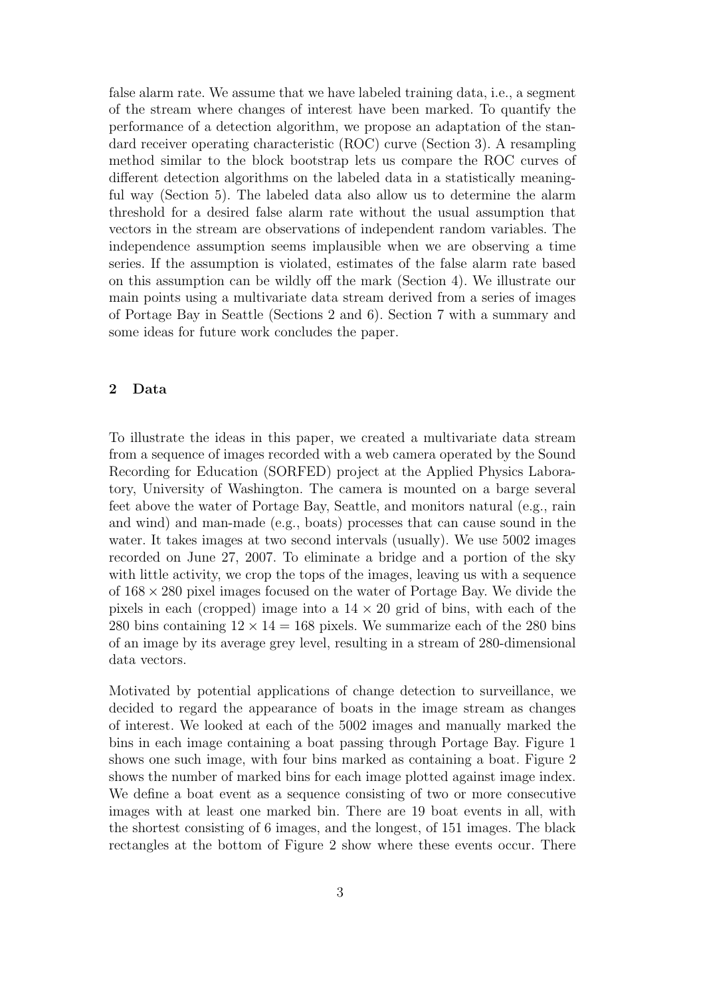false alarm rate. We assume that we have labeled training data, i.e., a segment of the stream where changes of interest have been marked. To quantify the performance of a detection algorithm, we propose an adaptation of the standard receiver operating characteristic (ROC) curve (Section 3). A resampling method similar to the block bootstrap lets us compare the ROC curves of different detection algorithms on the labeled data in a statistically meaningful way (Section 5). The labeled data also allow us to determine the alarm threshold for a desired false alarm rate without the usual assumption that vectors in the stream are observations of independent random variables. The independence assumption seems implausible when we are observing a time series. If the assumption is violated, estimates of the false alarm rate based on this assumption can be wildly off the mark (Section 4). We illustrate our main points using a multivariate data stream derived from a series of images of Portage Bay in Seattle (Sections 2 and 6). Section 7 with a summary and some ideas for future work concludes the paper.

## 2 Data

To illustrate the ideas in this paper, we created a multivariate data stream from a sequence of images recorded with a web camera operated by the Sound Recording for Education (SORFED) project at the Applied Physics Laboratory, University of Washington. The camera is mounted on a barge several feet above the water of Portage Bay, Seattle, and monitors natural (e.g., rain and wind) and man-made (e.g., boats) processes that can cause sound in the water. It takes images at two second intervals (usually). We use 5002 images recorded on June 27, 2007. To eliminate a bridge and a portion of the sky with little activity, we crop the tops of the images, leaving us with a sequence of  $168 \times 280$  pixel images focused on the water of Portage Bay. We divide the pixels in each (cropped) image into a  $14 \times 20$  grid of bins, with each of the 280 bins containing  $12 \times 14 = 168$  pixels. We summarize each of the 280 bins of an image by its average grey level, resulting in a stream of 280-dimensional data vectors.

Motivated by potential applications of change detection to surveillance, we decided to regard the appearance of boats in the image stream as changes of interest. We looked at each of the 5002 images and manually marked the bins in each image containing a boat passing through Portage Bay. Figure 1 shows one such image, with four bins marked as containing a boat. Figure 2 shows the number of marked bins for each image plotted against image index. We define a boat event as a sequence consisting of two or more consecutive images with at least one marked bin. There are 19 boat events in all, with the shortest consisting of 6 images, and the longest, of 151 images. The black rectangles at the bottom of Figure 2 show where these events occur. There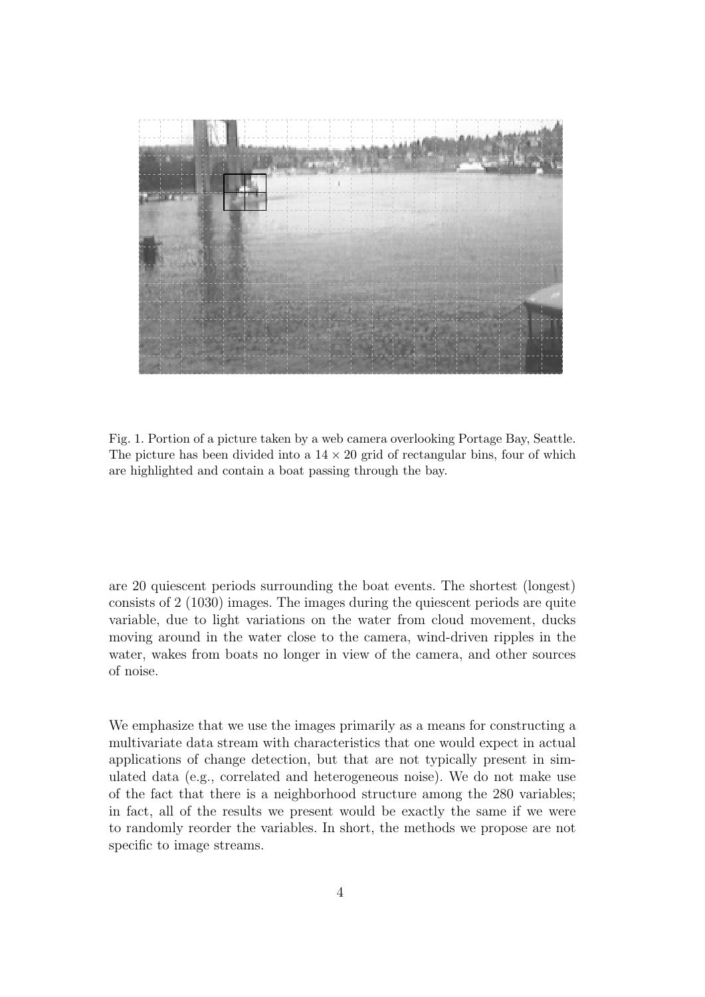

Fig. 1. Portion of a picture taken by a web camera overlooking Portage Bay, Seattle. The picture has been divided into a  $14 \times 20$  grid of rectangular bins, four of which are highlighted and contain a boat passing through the bay.

are 20 quiescent periods surrounding the boat events. The shortest (longest) consists of 2 (1030) images. The images during the quiescent periods are quite variable, due to light variations on the water from cloud movement, ducks moving around in the water close to the camera, wind-driven ripples in the water, wakes from boats no longer in view of the camera, and other sources of noise.

We emphasize that we use the images primarily as a means for constructing a multivariate data stream with characteristics that one would expect in actual applications of change detection, but that are not typically present in simulated data (e.g., correlated and heterogeneous noise). We do not make use of the fact that there is a neighborhood structure among the 280 variables; in fact, all of the results we present would be exactly the same if we were to randomly reorder the variables. In short, the methods we propose are not specific to image streams.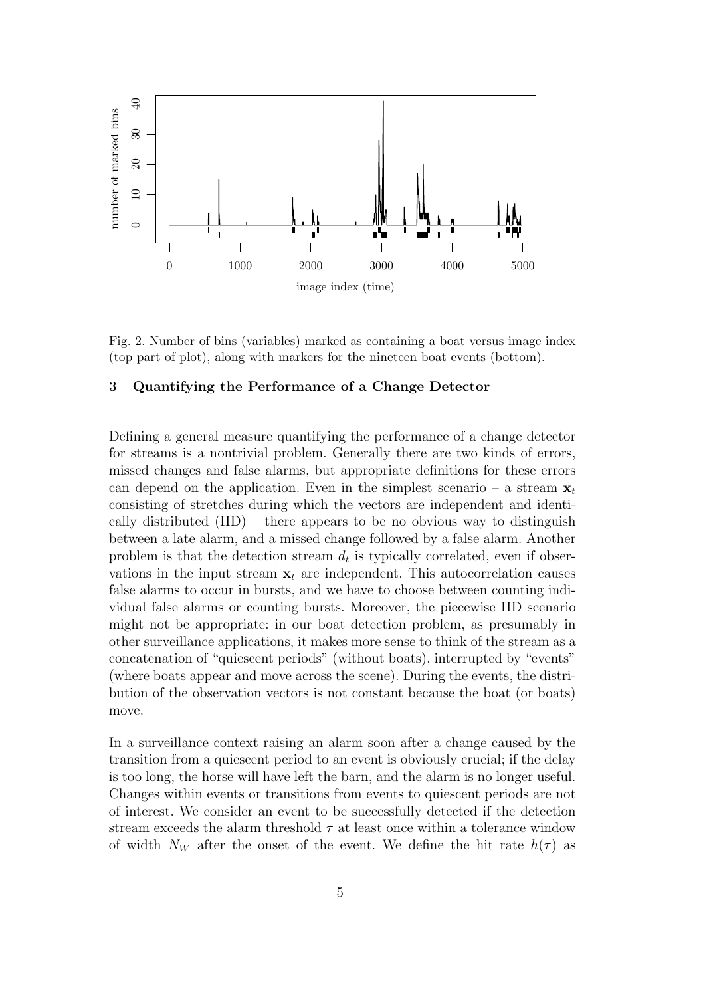

Fig. 2. Number of bins (variables) marked as containing a boat versus image index (top part of plot), along with markers for the nineteen boat events (bottom).

## 3 Quantifying the Performance of a Change Detector

Defining a general measure quantifying the performance of a change detector for streams is a nontrivial problem. Generally there are two kinds of errors, missed changes and false alarms, but appropriate definitions for these errors can depend on the application. Even in the simplest scenario – a stream  $x_t$ consisting of stretches during which the vectors are independent and identically distributed  $(IID)$  – there appears to be no obvious way to distinguish between a late alarm, and a missed change followed by a false alarm. Another problem is that the detection stream  $d_t$  is typically correlated, even if observations in the input stream  $x_t$  are independent. This autocorrelation causes false alarms to occur in bursts, and we have to choose between counting individual false alarms or counting bursts. Moreover, the piecewise IID scenario might not be appropriate: in our boat detection problem, as presumably in other surveillance applications, it makes more sense to think of the stream as a concatenation of "quiescent periods" (without boats), interrupted by "events" (where boats appear and move across the scene). During the events, the distribution of the observation vectors is not constant because the boat (or boats) move.

In a surveillance context raising an alarm soon after a change caused by the transition from a quiescent period to an event is obviously crucial; if the delay is too long, the horse will have left the barn, and the alarm is no longer useful. Changes within events or transitions from events to quiescent periods are not of interest. We consider an event to be successfully detected if the detection stream exceeds the alarm threshold  $\tau$  at least once within a tolerance window of width  $N_W$  after the onset of the event. We define the hit rate  $h(\tau)$  as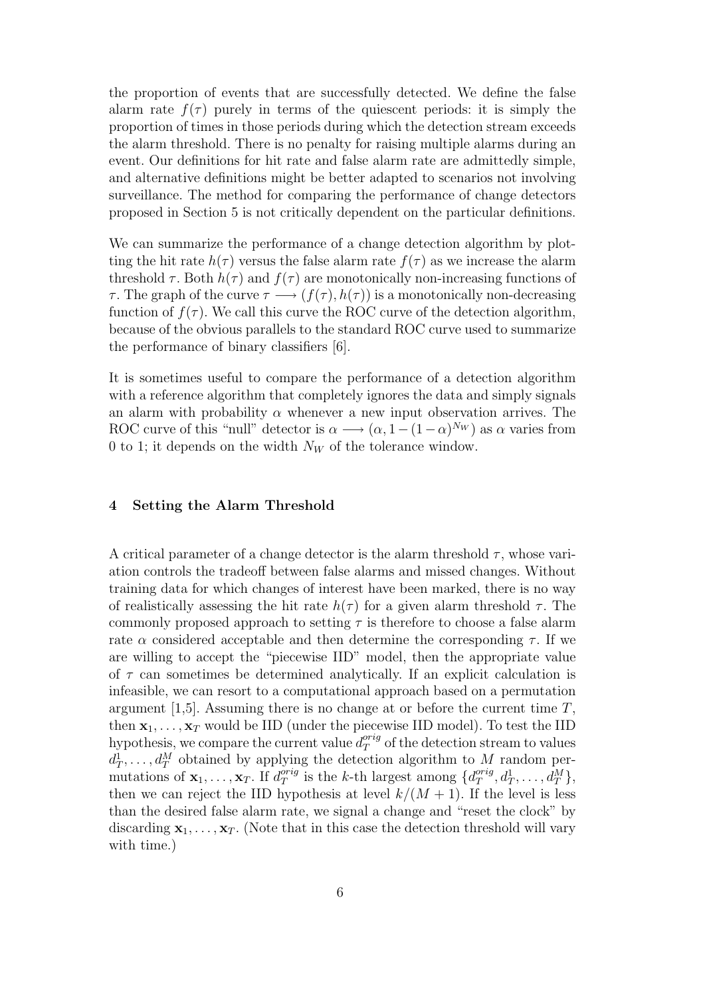the proportion of events that are successfully detected. We define the false alarm rate  $f(\tau)$  purely in terms of the quiescent periods: it is simply the proportion of times in those periods during which the detection stream exceeds the alarm threshold. There is no penalty for raising multiple alarms during an event. Our definitions for hit rate and false alarm rate are admittedly simple, and alternative definitions might be better adapted to scenarios not involving surveillance. The method for comparing the performance of change detectors proposed in Section 5 is not critically dependent on the particular definitions.

We can summarize the performance of a change detection algorithm by plotting the hit rate  $h(\tau)$  versus the false alarm rate  $f(\tau)$  as we increase the alarm threshold  $\tau$ . Both  $h(\tau)$  and  $f(\tau)$  are monotonically non-increasing functions of  $\tau$ . The graph of the curve  $\tau \longrightarrow (f(\tau), h(\tau))$  is a monotonically non-decreasing function of  $f(\tau)$ . We call this curve the ROC curve of the detection algorithm, because of the obvious parallels to the standard ROC curve used to summarize the performance of binary classifiers [6].

It is sometimes useful to compare the performance of a detection algorithm with a reference algorithm that completely ignores the data and simply signals an alarm with probability  $\alpha$  whenever a new input observation arrives. The ROC curve of this "null" detector is  $\alpha \longrightarrow (\alpha, 1 - (1 - \alpha)^{N_W})$  as  $\alpha$  varies from 0 to 1; it depends on the width  $N_W$  of the tolerance window.

#### 4 Setting the Alarm Threshold

A critical parameter of a change detector is the alarm threshold  $\tau$ , whose variation controls the tradeoff between false alarms and missed changes. Without training data for which changes of interest have been marked, there is no way of realistically assessing the hit rate  $h(\tau)$  for a given alarm threshold  $\tau$ . The commonly proposed approach to setting  $\tau$  is therefore to choose a false alarm rate  $\alpha$  considered acceptable and then determine the corresponding  $\tau$ . If we are willing to accept the "piecewise IID" model, then the appropriate value of  $\tau$  can sometimes be determined analytically. If an explicit calculation is infeasible, we can resort to a computational approach based on a permutation argument [1,5]. Assuming there is no change at or before the current time  $T$ , then  $x_1, \ldots, x_T$  would be IID (under the piecewise IID model). To test the IID hypothesis, we compare the current value  $d_T^{orig}$  of the detection stream to values  $d_T^1, \ldots, d_T^M$  obtained by applying the detection algorithm to M random permutations of  $\mathbf{x}_1, \ldots, \mathbf{x}_T$ . If  $d_T^{orig}$  $T^{orig}$  is the k-th largest among  $\{d_T^{orig}\}$  $q_T^{orig}, d_T^1, \ldots, d_T^M\},$ then we can reject the IID hypothesis at level  $k/(M+1)$ . If the level is less than the desired false alarm rate, we signal a change and "reset the clock" by discarding  $x_1, \ldots, x_T$ . (Note that in this case the detection threshold will vary with time.)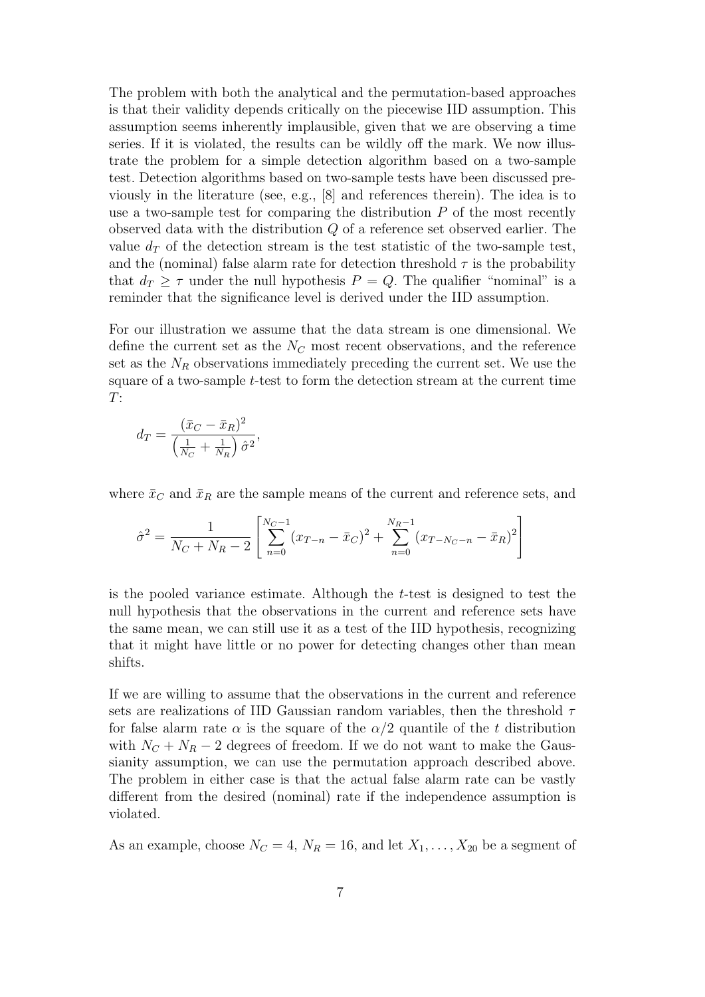The problem with both the analytical and the permutation-based approaches is that their validity depends critically on the piecewise IID assumption. This assumption seems inherently implausible, given that we are observing a time series. If it is violated, the results can be wildly off the mark. We now illustrate the problem for a simple detection algorithm based on a two-sample test. Detection algorithms based on two-sample tests have been discussed previously in the literature (see, e.g., [8] and references therein). The idea is to use a two-sample test for comparing the distribution  $P$  of the most recently observed data with the distribution Q of a reference set observed earlier. The value  $d_T$  of the detection stream is the test statistic of the two-sample test, and the (nominal) false alarm rate for detection threshold  $\tau$  is the probability that  $d_T \geq \tau$  under the null hypothesis  $P = Q$ . The qualifier "nominal" is a reminder that the significance level is derived under the IID assumption.

For our illustration we assume that the data stream is one dimensional. We define the current set as the  $N_C$  most recent observations, and the reference set as the  $N_R$  observations immediately preceding the current set. We use the square of a two-sample t-test to form the detection stream at the current time  $T$ :

$$
d_T = \frac{(\bar{x}_C - \bar{x}_R)^2}{\left(\frac{1}{N_C} + \frac{1}{N_R}\right)\hat{\sigma}^2},
$$

where  $\bar{x}_C$  and  $\bar{x}_R$  are the sample means of the current and reference sets, and

$$
\hat{\sigma}^2 = \frac{1}{N_C + N_R - 2} \left[ \sum_{n=0}^{N_C - 1} (x_{T-n} - \bar{x}_C)^2 + \sum_{n=0}^{N_R - 1} (x_{T-N_C - n} - \bar{x}_R)^2 \right]
$$

is the pooled variance estimate. Although the t-test is designed to test the null hypothesis that the observations in the current and reference sets have the same mean, we can still use it as a test of the IID hypothesis, recognizing that it might have little or no power for detecting changes other than mean shifts.

If we are willing to assume that the observations in the current and reference sets are realizations of IID Gaussian random variables, then the threshold  $\tau$ for false alarm rate  $\alpha$  is the square of the  $\alpha/2$  quantile of the t distribution with  $N_c + N_R - 2$  degrees of freedom. If we do not want to make the Gaussianity assumption, we can use the permutation approach described above. The problem in either case is that the actual false alarm rate can be vastly different from the desired (nominal) rate if the independence assumption is violated.

As an example, choose  $N_C = 4$ ,  $N_R = 16$ , and let  $X_1, \ldots, X_{20}$  be a segment of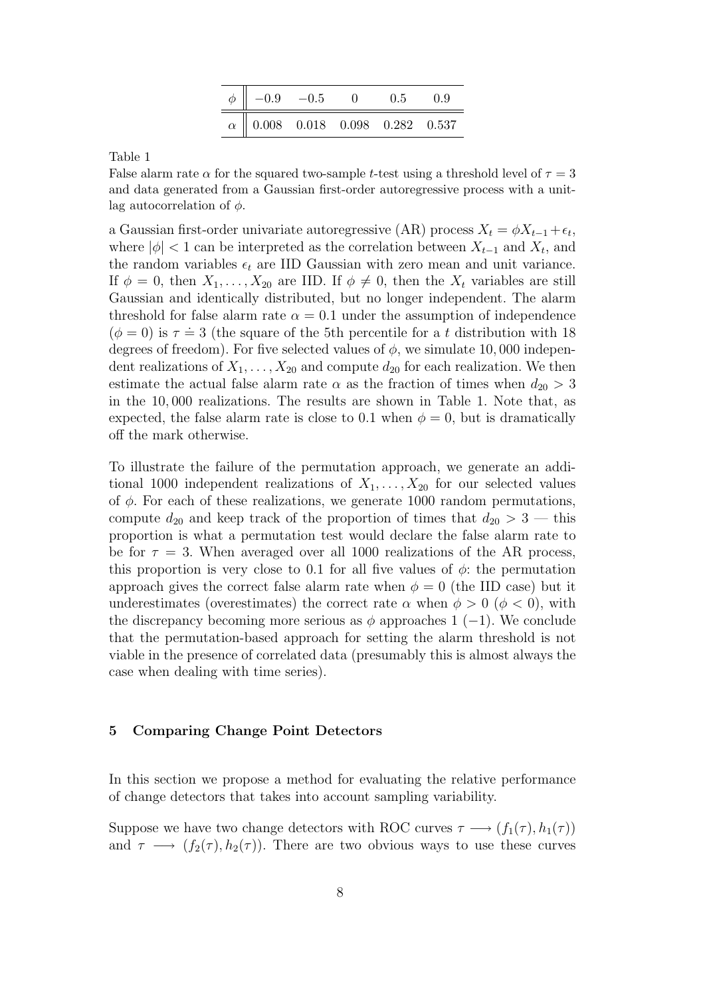| $\phi \parallel -0.9$ $-0.5$ $\boxed{0}$ |  | 0.5 | 0.9 |
|------------------------------------------|--|-----|-----|
| $\alpha$ 0.008 0.018 0.098 0.282 0.537   |  |     |     |

Table 1

False alarm rate  $\alpha$  for the squared two-sample t-test using a threshold level of  $\tau = 3$ and data generated from a Gaussian first-order autoregressive process with a unitlag autocorrelation of  $\phi$ .

a Gaussian first-order univariate autoregressive (AR) process  $X_t = \phi X_{t-1} + \epsilon_t$ , where  $|\phi|$  < 1 can be interpreted as the correlation between  $X_{t-1}$  and  $X_t$ , and the random variables  $\epsilon_t$  are IID Gaussian with zero mean and unit variance. If  $\phi = 0$ , then  $X_1, \ldots, X_{20}$  are IID. If  $\phi \neq 0$ , then the  $X_t$  variables are still Gaussian and identically distributed, but no longer independent. The alarm threshold for false alarm rate  $\alpha = 0.1$  under the assumption of independence  $(\phi = 0)$  is  $\tau = 3$  (the square of the 5th percentile for a t distribution with 18 degrees of freedom). For five selected values of  $\phi$ , we simulate 10,000 independent realizations of  $X_1, \ldots, X_{20}$  and compute  $d_{20}$  for each realization. We then estimate the actual false alarm rate  $\alpha$  as the fraction of times when  $d_{20} > 3$ in the 10, 000 realizations. The results are shown in Table 1. Note that, as expected, the false alarm rate is close to 0.1 when  $\phi = 0$ , but is dramatically off the mark otherwise.

To illustrate the failure of the permutation approach, we generate an additional 1000 independent realizations of  $X_1, \ldots, X_{20}$  for our selected values of  $\phi$ . For each of these realizations, we generate 1000 random permutations, compute  $d_{20}$  and keep track of the proportion of times that  $d_{20} > 3$  — this proportion is what a permutation test would declare the false alarm rate to be for  $\tau = 3$ . When averaged over all 1000 realizations of the AR process, this proportion is very close to 0.1 for all five values of  $\phi$ : the permutation approach gives the correct false alarm rate when  $\phi = 0$  (the IID case) but it underestimates (overestimates) the correct rate  $\alpha$  when  $\phi > 0$  ( $\phi < 0$ ), with the discrepancy becoming more serious as  $\phi$  approaches 1 (−1). We conclude that the permutation-based approach for setting the alarm threshold is not viable in the presence of correlated data (presumably this is almost always the case when dealing with time series).

#### 5 Comparing Change Point Detectors

In this section we propose a method for evaluating the relative performance of change detectors that takes into account sampling variability.

Suppose we have two change detectors with ROC curves  $\tau \longrightarrow (f_1(\tau), h_1(\tau))$ and  $\tau \longrightarrow (f_2(\tau), h_2(\tau))$ . There are two obvious ways to use these curves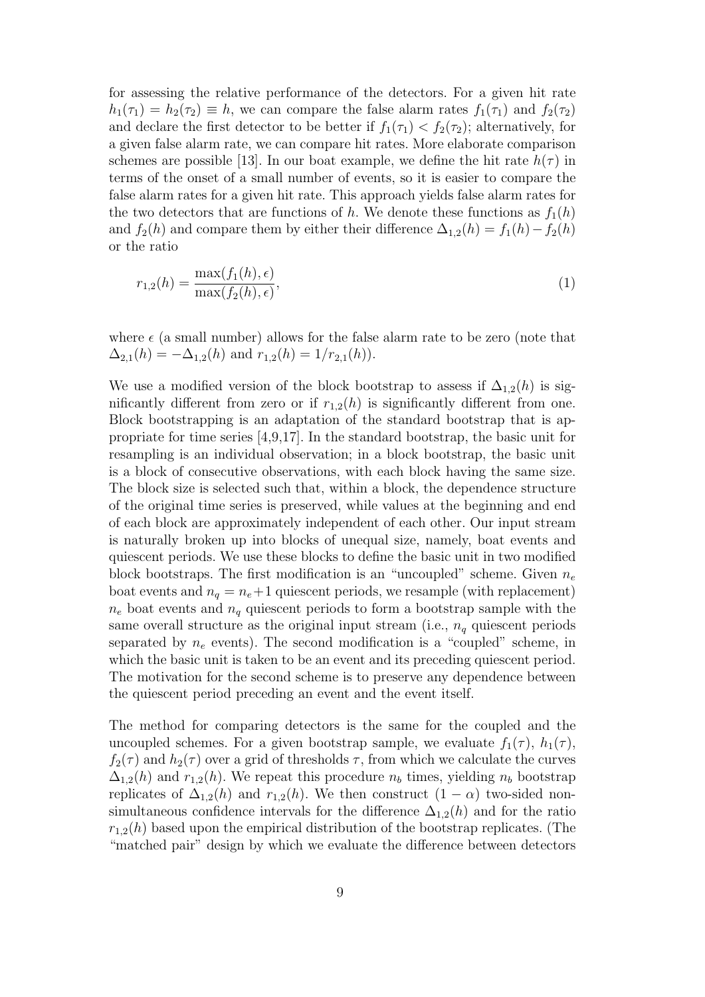for assessing the relative performance of the detectors. For a given hit rate  $h_1(\tau_1) = h_2(\tau_2) \equiv h$ , we can compare the false alarm rates  $f_1(\tau_1)$  and  $f_2(\tau_2)$ and declare the first detector to be better if  $f_1(\tau_1) < f_2(\tau_2)$ ; alternatively, for a given false alarm rate, we can compare hit rates. More elaborate comparison schemes are possible [13]. In our boat example, we define the hit rate  $h(\tau)$  in terms of the onset of a small number of events, so it is easier to compare the false alarm rates for a given hit rate. This approach yields false alarm rates for the two detectors that are functions of h. We denote these functions as  $f_1(h)$ and  $f_2(h)$  and compare them by either their difference  $\Delta_{1,2}(h) = f_1(h) - f_2(h)$ or the ratio

$$
r_{1,2}(h) = \frac{\max(f_1(h), \epsilon)}{\max(f_2(h), \epsilon)},
$$
\n(1)

where  $\epsilon$  (a small number) allows for the false alarm rate to be zero (note that  $\Delta_{2,1}(h) = -\Delta_{1,2}(h)$  and  $r_{1,2}(h) = 1/r_{2,1}(h)$ .

We use a modified version of the block bootstrap to assess if  $\Delta_{1,2}(h)$  is significantly different from zero or if  $r_{1,2}(h)$  is significantly different from one. Block bootstrapping is an adaptation of the standard bootstrap that is appropriate for time series [4,9,17]. In the standard bootstrap, the basic unit for resampling is an individual observation; in a block bootstrap, the basic unit is a block of consecutive observations, with each block having the same size. The block size is selected such that, within a block, the dependence structure of the original time series is preserved, while values at the beginning and end of each block are approximately independent of each other. Our input stream is naturally broken up into blocks of unequal size, namely, boat events and quiescent periods. We use these blocks to define the basic unit in two modified block bootstraps. The first modification is an "uncoupled" scheme. Given  $n_e$ boat events and  $n_q = n_e + 1$  quiescent periods, we resample (with replacement)  $n_e$  boat events and  $n_q$  quiescent periods to form a bootstrap sample with the same overall structure as the original input stream (i.e.,  $n_q$  quiescent periods separated by  $n_e$  events). The second modification is a "coupled" scheme, in which the basic unit is taken to be an event and its preceding quiescent period. The motivation for the second scheme is to preserve any dependence between the quiescent period preceding an event and the event itself.

The method for comparing detectors is the same for the coupled and the uncoupled schemes. For a given bootstrap sample, we evaluate  $f_1(\tau)$ ,  $h_1(\tau)$ ,  $f_2(\tau)$  and  $h_2(\tau)$  over a grid of thresholds  $\tau$ , from which we calculate the curves  $\Delta_{1,2}(h)$  and  $r_{1,2}(h)$ . We repeat this procedure  $n_b$  times, yielding  $n_b$  bootstrap replicates of  $\Delta_{1,2}(h)$  and  $r_{1,2}(h)$ . We then construct  $(1 - \alpha)$  two-sided nonsimultaneous confidence intervals for the difference  $\Delta_{1,2}(h)$  and for the ratio  $r_{1,2}(h)$  based upon the empirical distribution of the bootstrap replicates. (The "matched pair" design by which we evaluate the difference between detectors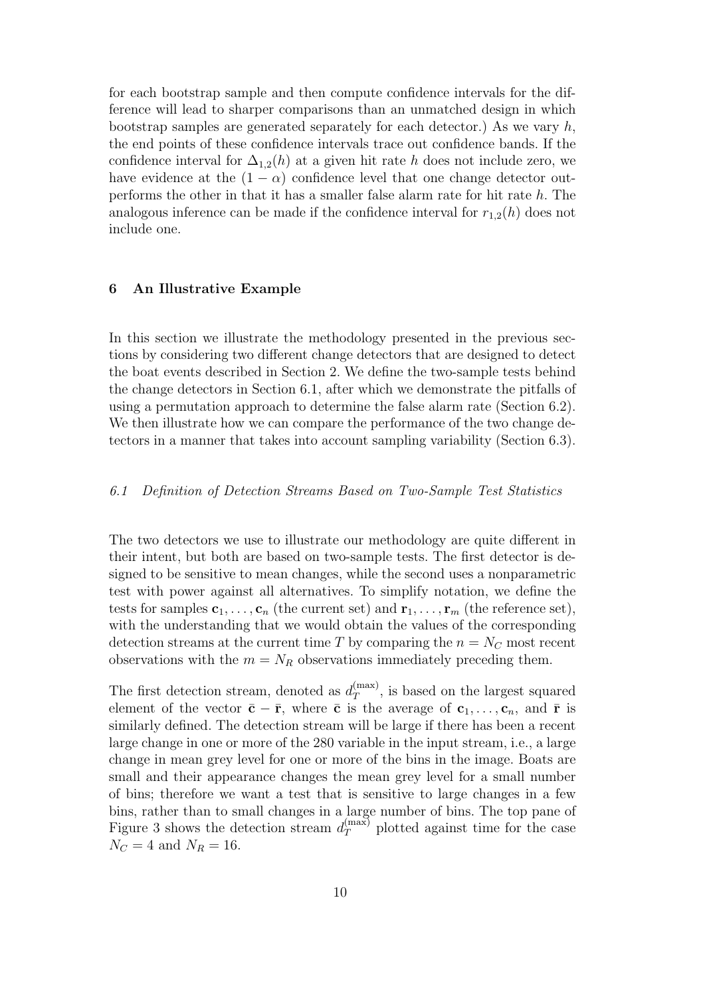for each bootstrap sample and then compute confidence intervals for the difference will lead to sharper comparisons than an unmatched design in which bootstrap samples are generated separately for each detector.) As we vary  $h$ , the end points of these confidence intervals trace out confidence bands. If the confidence interval for  $\Delta_{1,2}(h)$  at a given hit rate h does not include zero, we have evidence at the  $(1 - \alpha)$  confidence level that one change detector outperforms the other in that it has a smaller false alarm rate for hit rate h. The analogous inference can be made if the confidence interval for  $r_{1,2}(h)$  does not include one.

#### 6 An Illustrative Example

In this section we illustrate the methodology presented in the previous sections by considering two different change detectors that are designed to detect the boat events described in Section 2. We define the two-sample tests behind the change detectors in Section 6.1, after which we demonstrate the pitfalls of using a permutation approach to determine the false alarm rate (Section 6.2). We then illustrate how we can compare the performance of the two change detectors in a manner that takes into account sampling variability (Section 6.3).

## 6.1 Definition of Detection Streams Based on Two-Sample Test Statistics

The two detectors we use to illustrate our methodology are quite different in their intent, but both are based on two-sample tests. The first detector is designed to be sensitive to mean changes, while the second uses a nonparametric test with power against all alternatives. To simplify notation, we define the tests for samples  $c_1, \ldots, c_n$  (the current set) and  $r_1, \ldots, r_m$  (the reference set), with the understanding that we would obtain the values of the corresponding detection streams at the current time T by comparing the  $n = N<sub>C</sub>$  most recent observations with the  $m = N_R$  observations immediately preceding them.

The first detection stream, denoted as  $d_T^{(\text{max})}$  $T^{(\text{max})}$ , is based on the largest squared element of the vector  $\bar{\mathbf{c}} - \bar{\mathbf{r}}$ , where  $\bar{\mathbf{c}}$  is the average of  $\mathbf{c}_1, \ldots, \mathbf{c}_n$ , and  $\bar{\mathbf{r}}$  is similarly defined. The detection stream will be large if there has been a recent large change in one or more of the 280 variable in the input stream, i.e., a large change in mean grey level for one or more of the bins in the image. Boats are small and their appearance changes the mean grey level for a small number of bins; therefore we want a test that is sensitive to large changes in a few bins, rather than to small changes in a large number of bins. The top pane of Figure 3 shows the detection stream  $d_T^{(\text{max})}$  plotted against time for the case  $N_C = 4$  and  $N_R = 16$ .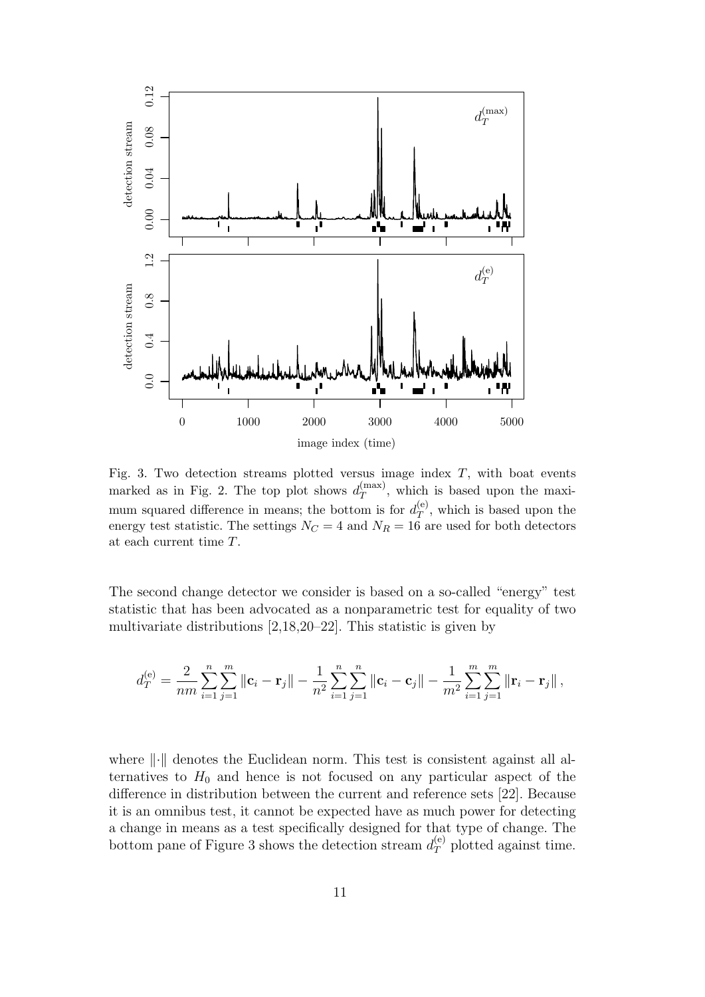

Fig. 3. Two detection streams plotted versus image index  $T$ , with boat events marked as in Fig. 2. The top plot shows  $d_T^{(\text{max})}$  $T^{(\text{max})}$ , which is based upon the maximum squared difference in means; the bottom is for  $d_T^{(e)}$  $T^{(e)}$ , which is based upon the energy test statistic. The settings  $N_C = 4$  and  $N_R = 16$  are used for both detectors at each current time T.

The second change detector we consider is based on a so-called "energy" test statistic that has been advocated as a nonparametric test for equality of two multivariate distributions [2,18,20–22]. This statistic is given by

$$
d_T^{(e)} = \frac{2}{nm} \sum_{i=1}^n \sum_{j=1}^m ||\mathbf{c}_i - \mathbf{r}_j|| - \frac{1}{n^2} \sum_{i=1}^n \sum_{j=1}^n ||\mathbf{c}_i - \mathbf{c}_j|| - \frac{1}{m^2} \sum_{i=1}^m \sum_{j=1}^m ||\mathbf{r}_i - \mathbf{r}_j||,
$$

where  $\lVert \cdot \rVert$  denotes the Euclidean norm. This test is consistent against all alternatives to  $H_0$  and hence is not focused on any particular aspect of the difference in distribution between the current and reference sets [22]. Because it is an omnibus test, it cannot be expected have as much power for detecting a change in means as a test specifically designed for that type of change. The bottom pane of Figure 3 shows the detection stream  $d_T^{(e)}$  plotted against time.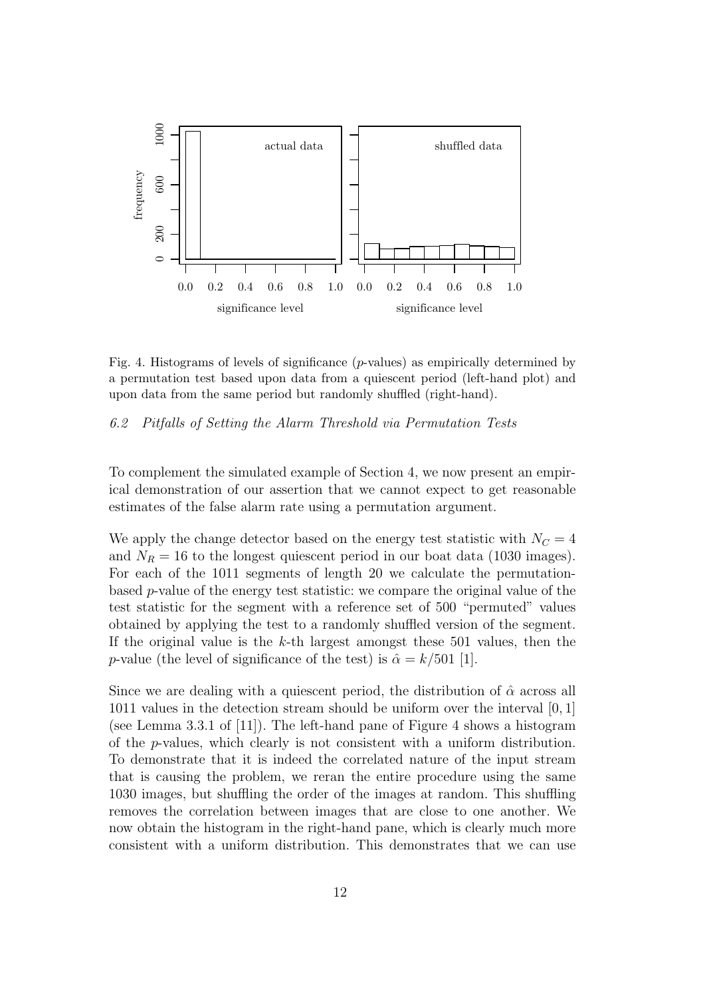

Fig. 4. Histograms of levels of significance (p-values) as empirically determined by a permutation test based upon data from a quiescent period (left-hand plot) and upon data from the same period but randomly shuffled (right-hand).

#### 6.2 Pitfalls of Setting the Alarm Threshold via Permutation Tests

To complement the simulated example of Section 4, we now present an empirical demonstration of our assertion that we cannot expect to get reasonable estimates of the false alarm rate using a permutation argument.

We apply the change detector based on the energy test statistic with  $N<sub>C</sub> = 4$ and  $N_R = 16$  to the longest quiescent period in our boat data (1030 images). For each of the 1011 segments of length 20 we calculate the permutationbased  $p$ -value of the energy test statistic: we compare the original value of the test statistic for the segment with a reference set of 500 "permuted" values obtained by applying the test to a randomly shuffled version of the segment. If the original value is the  $k$ -th largest amongst these 501 values, then the p-value (the level of significance of the test) is  $\hat{\alpha} = k/501$  [1].

Since we are dealing with a quiescent period, the distribution of  $\hat{\alpha}$  across all 1011 values in the detection stream should be uniform over the interval [0, 1] (see Lemma 3.3.1 of [11]). The left-hand pane of Figure 4 shows a histogram of the p-values, which clearly is not consistent with a uniform distribution. To demonstrate that it is indeed the correlated nature of the input stream that is causing the problem, we reran the entire procedure using the same 1030 images, but shuffling the order of the images at random. This shuffling removes the correlation between images that are close to one another. We now obtain the histogram in the right-hand pane, which is clearly much more consistent with a uniform distribution. This demonstrates that we can use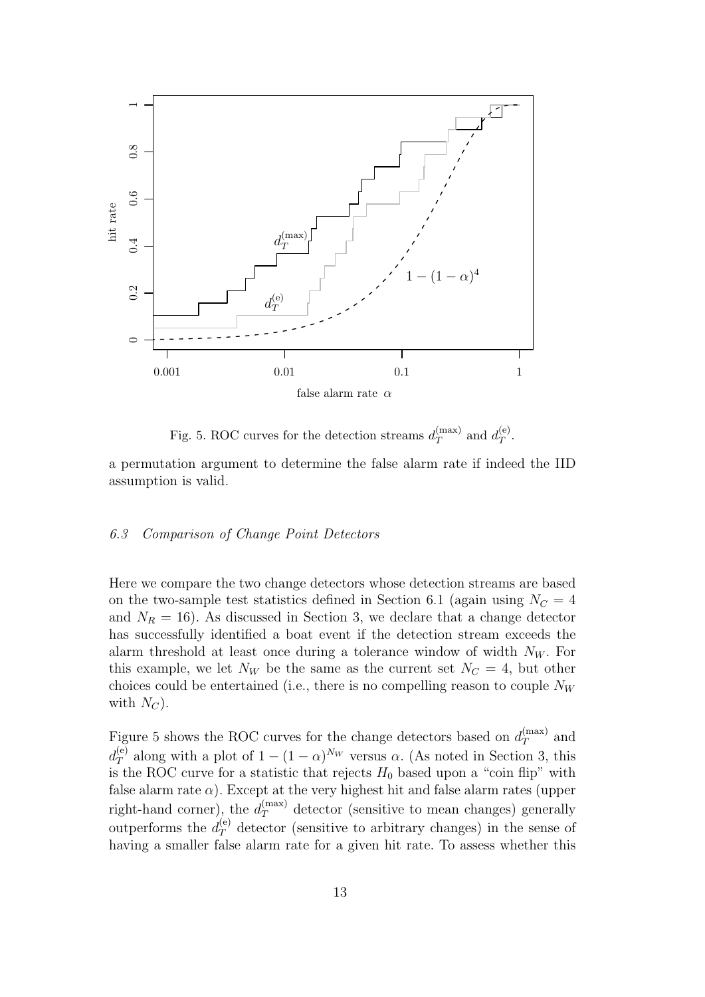

Fig. 5. ROC curves for the detection streams  $d_T^{(\text{max})}$  $d_T^{(\text{max})}$  and  $d_T^{(\text{e})}$  $T^{(e)}.$ 

a permutation argument to determine the false alarm rate if indeed the IID assumption is valid.

## 6.3 Comparison of Change Point Detectors

Here we compare the two change detectors whose detection streams are based on the two-sample test statistics defined in Section 6.1 (again using  $N_C = 4$ and  $N_R = 16$ ). As discussed in Section 3, we declare that a change detector has successfully identified a boat event if the detection stream exceeds the alarm threshold at least once during a tolerance window of width  $N_W$ . For this example, we let  $N_W$  be the same as the current set  $N_C = 4$ , but other choices could be entertained (i.e., there is no compelling reason to couple  $N_W$ with  $N_C$ ).

Figure 5 shows the ROC curves for the change detectors based on  $d_T^{(\text{max})}$  and  $d_T^{(e)}$  along with a plot of  $1 - (1 - \alpha)^{N_W}$  versus  $\alpha$ . (As noted in Section 3, this is the ROC curve for a statistic that rejects  $H_0$  based upon a "coin flip" with false alarm rate  $\alpha$ ). Except at the very highest hit and false alarm rates (upper right-hand corner), the  $d_T^{(\text{max})}$  detector (sensitive to mean changes) generally outperforms the  $d_T^{(e)}$  detector (sensitive to arbitrary changes) in the sense of having a smaller false alarm rate for a given hit rate. To assess whether this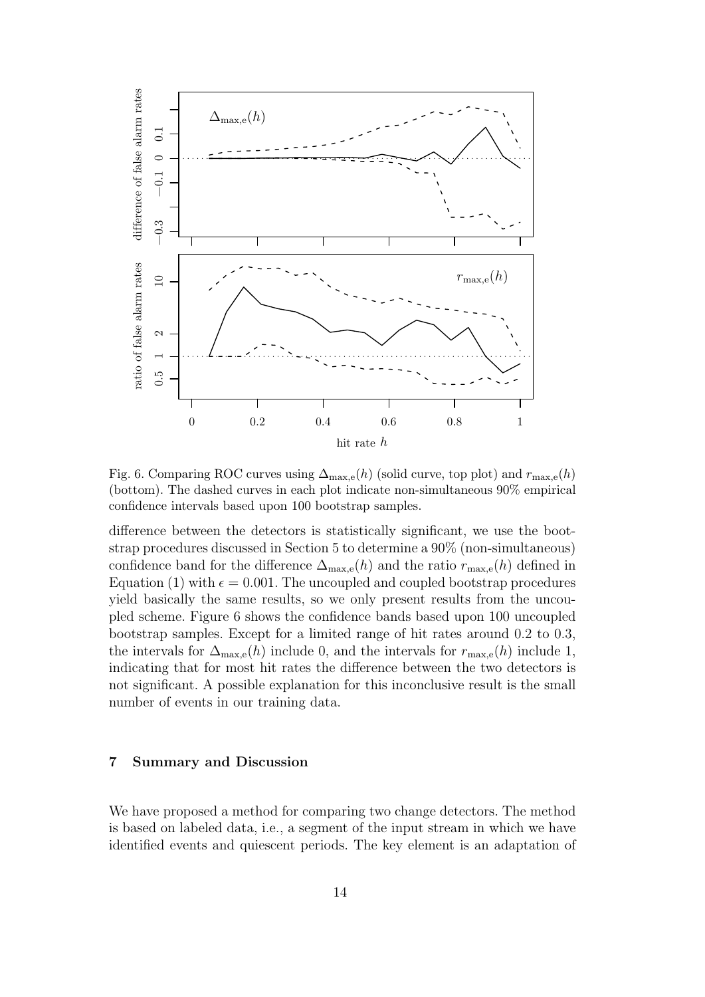

Fig. 6. Comparing ROC curves using  $\Delta_{\text{max,e}}(h)$  (solid curve, top plot) and  $r_{\text{max,e}}(h)$ (bottom). The dashed curves in each plot indicate non-simultaneous 90% empirical confidence intervals based upon 100 bootstrap samples.

difference between the detectors is statistically significant, we use the bootstrap procedures discussed in Section 5 to determine a 90% (non-simultaneous) confidence band for the difference  $\Delta_{\text{max},e}(h)$  and the ratio  $r_{\text{max},e}(h)$  defined in Equation (1) with  $\epsilon = 0.001$ . The uncoupled and coupled bootstrap procedures yield basically the same results, so we only present results from the uncoupled scheme. Figure 6 shows the confidence bands based upon 100 uncoupled bootstrap samples. Except for a limited range of hit rates around 0.2 to 0.3, the intervals for  $\Delta_{\text{max,e}}(h)$  include 0, and the intervals for  $r_{\text{max,e}}(h)$  include 1, indicating that for most hit rates the difference between the two detectors is not significant. A possible explanation for this inconclusive result is the small number of events in our training data.

## 7 Summary and Discussion

We have proposed a method for comparing two change detectors. The method is based on labeled data, i.e., a segment of the input stream in which we have identified events and quiescent periods. The key element is an adaptation of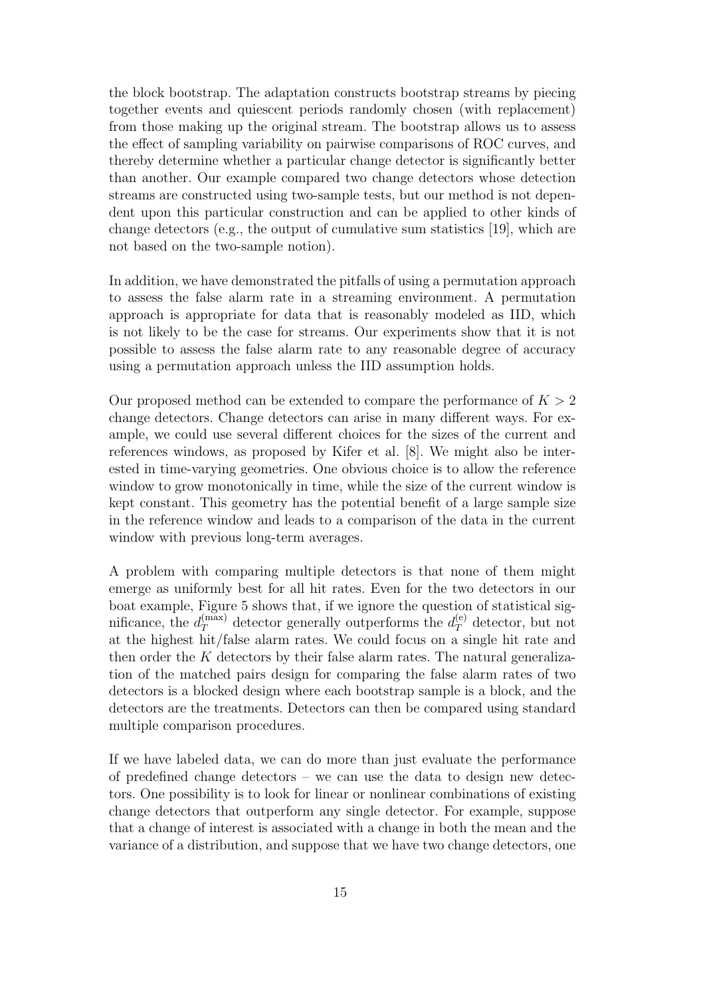the block bootstrap. The adaptation constructs bootstrap streams by piecing together events and quiescent periods randomly chosen (with replacement) from those making up the original stream. The bootstrap allows us to assess the effect of sampling variability on pairwise comparisons of ROC curves, and thereby determine whether a particular change detector is significantly better than another. Our example compared two change detectors whose detection streams are constructed using two-sample tests, but our method is not dependent upon this particular construction and can be applied to other kinds of change detectors (e.g., the output of cumulative sum statistics [19], which are not based on the two-sample notion).

In addition, we have demonstrated the pitfalls of using a permutation approach to assess the false alarm rate in a streaming environment. A permutation approach is appropriate for data that is reasonably modeled as IID, which is not likely to be the case for streams. Our experiments show that it is not possible to assess the false alarm rate to any reasonable degree of accuracy using a permutation approach unless the IID assumption holds.

Our proposed method can be extended to compare the performance of  $K > 2$ change detectors. Change detectors can arise in many different ways. For example, we could use several different choices for the sizes of the current and references windows, as proposed by Kifer et al. [8]. We might also be interested in time-varying geometries. One obvious choice is to allow the reference window to grow monotonically in time, while the size of the current window is kept constant. This geometry has the potential benefit of a large sample size in the reference window and leads to a comparison of the data in the current window with previous long-term averages.

A problem with comparing multiple detectors is that none of them might emerge as uniformly best for all hit rates. Even for the two detectors in our boat example, Figure 5 shows that, if we ignore the question of statistical significance, the  $d_T^{(\text{max})}$  detector generally outperforms the  $d_T^{(e)}$  detector, but not at the highest hit/false alarm rates. We could focus on a single hit rate and then order the  $K$  detectors by their false alarm rates. The natural generalization of the matched pairs design for comparing the false alarm rates of two detectors is a blocked design where each bootstrap sample is a block, and the detectors are the treatments. Detectors can then be compared using standard multiple comparison procedures.

If we have labeled data, we can do more than just evaluate the performance of predefined change detectors – we can use the data to design new detectors. One possibility is to look for linear or nonlinear combinations of existing change detectors that outperform any single detector. For example, suppose that a change of interest is associated with a change in both the mean and the variance of a distribution, and suppose that we have two change detectors, one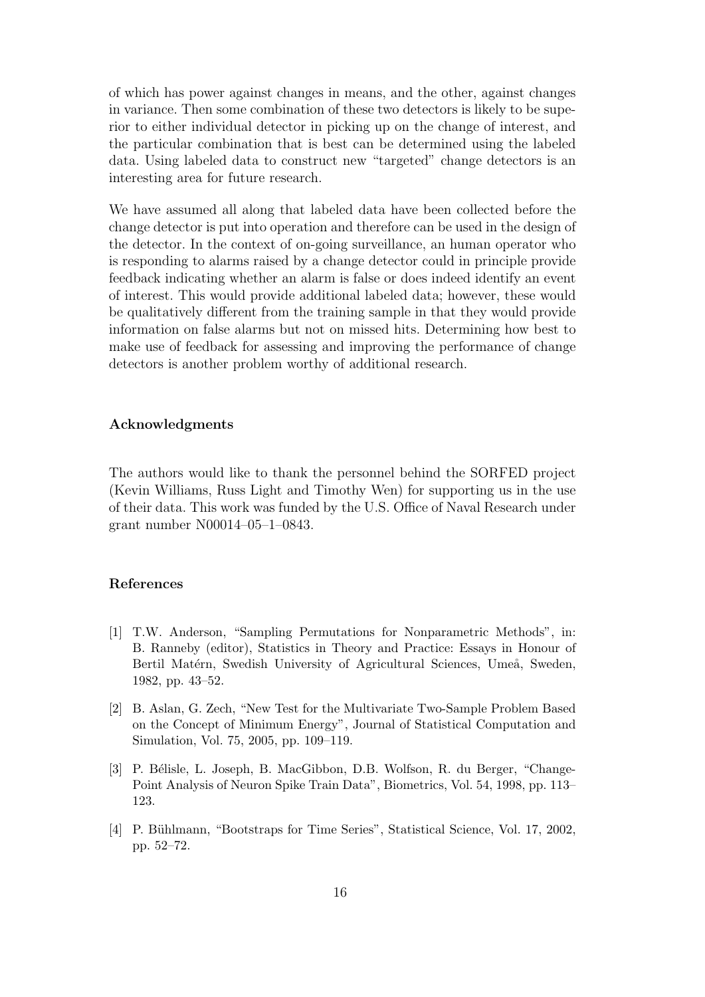of which has power against changes in means, and the other, against changes in variance. Then some combination of these two detectors is likely to be superior to either individual detector in picking up on the change of interest, and the particular combination that is best can be determined using the labeled data. Using labeled data to construct new "targeted" change detectors is an interesting area for future research.

We have assumed all along that labeled data have been collected before the change detector is put into operation and therefore can be used in the design of the detector. In the context of on-going surveillance, an human operator who is responding to alarms raised by a change detector could in principle provide feedback indicating whether an alarm is false or does indeed identify an event of interest. This would provide additional labeled data; however, these would be qualitatively different from the training sample in that they would provide information on false alarms but not on missed hits. Determining how best to make use of feedback for assessing and improving the performance of change detectors is another problem worthy of additional research.

#### Acknowledgments

The authors would like to thank the personnel behind the SORFED project (Kevin Williams, Russ Light and Timothy Wen) for supporting us in the use of their data. This work was funded by the U.S. Office of Naval Research under grant number N00014–05–1–0843.

#### References

- [1] T.W. Anderson, "Sampling Permutations for Nonparametric Methods", in: B. Ranneby (editor), Statistics in Theory and Practice: Essays in Honour of Bertil Matérn, Swedish University of Agricultural Sciences, Umeå, Sweden, 1982, pp. 43–52.
- [2] B. Aslan, G. Zech, "New Test for the Multivariate Two-Sample Problem Based on the Concept of Minimum Energy", Journal of Statistical Computation and Simulation, Vol. 75, 2005, pp. 109–119.
- [3] P. Bélisle, L. Joseph, B. MacGibbon, D.B. Wolfson, R. du Berger, "Change-Point Analysis of Neuron Spike Train Data", Biometrics, Vol. 54, 1998, pp. 113– 123.
- [4] P. Bühlmann, "Bootstraps for Time Series", Statistical Science, Vol. 17, 2002, pp. 52–72.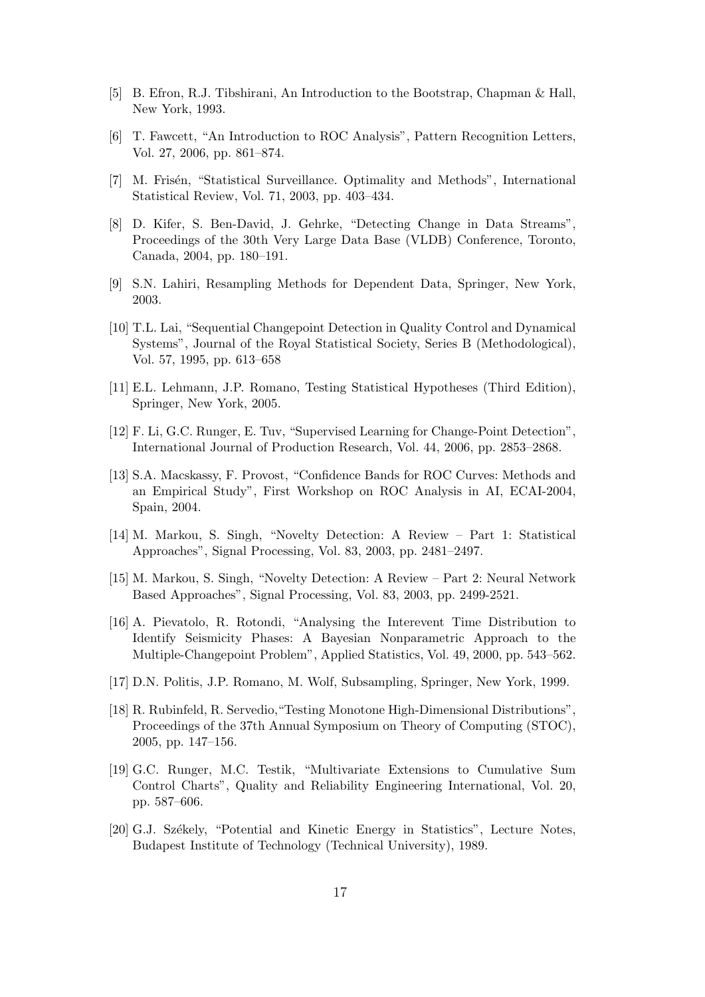- [5] B. Efron, R.J. Tibshirani, An Introduction to the Bootstrap, Chapman & Hall, New York, 1993.
- [6] T. Fawcett, "An Introduction to ROC Analysis", Pattern Recognition Letters, Vol. 27, 2006, pp. 861–874.
- [7] M. Frisén, "Statistical Surveillance. Optimality and Methods", International Statistical Review, Vol. 71, 2003, pp. 403–434.
- [8] D. Kifer, S. Ben-David, J. Gehrke, "Detecting Change in Data Streams", Proceedings of the 30th Very Large Data Base (VLDB) Conference, Toronto, Canada, 2004, pp. 180–191.
- [9] S.N. Lahiri, Resampling Methods for Dependent Data, Springer, New York, 2003.
- [10] T.L. Lai, "Sequential Changepoint Detection in Quality Control and Dynamical Systems", Journal of the Royal Statistical Society, Series B (Methodological), Vol. 57, 1995, pp. 613–658
- [11] E.L. Lehmann, J.P. Romano, Testing Statistical Hypotheses (Third Edition), Springer, New York, 2005.
- [12] F. Li, G.C. Runger, E. Tuv, "Supervised Learning for Change-Point Detection", International Journal of Production Research, Vol. 44, 2006, pp. 2853–2868.
- [13] S.A. Macskassy, F. Provost, "Confidence Bands for ROC Curves: Methods and an Empirical Study", First Workshop on ROC Analysis in AI, ECAI-2004, Spain, 2004.
- [14] M. Markou, S. Singh, "Novelty Detection: A Review Part 1: Statistical Approaches", Signal Processing, Vol. 83, 2003, pp. 2481–2497.
- [15] M. Markou, S. Singh, "Novelty Detection: A Review Part 2: Neural Network Based Approaches", Signal Processing, Vol. 83, 2003, pp. 2499-2521.
- [16] A. Pievatolo, R. Rotondi, "Analysing the Interevent Time Distribution to Identify Seismicity Phases: A Bayesian Nonparametric Approach to the Multiple-Changepoint Problem", Applied Statistics, Vol. 49, 2000, pp. 543–562.
- [17] D.N. Politis, J.P. Romano, M. Wolf, Subsampling, Springer, New York, 1999.
- [18] R. Rubinfeld, R. Servedio,"Testing Monotone High-Dimensional Distributions", Proceedings of the 37th Annual Symposium on Theory of Computing (STOC), 2005, pp. 147–156.
- [19] G.C. Runger, M.C. Testik, "Multivariate Extensions to Cumulative Sum Control Charts", Quality and Reliability Engineering International, Vol. 20, pp. 587–606.
- [20] G.J. Székely, "Potential and Kinetic Energy in Statistics", Lecture Notes, Budapest Institute of Technology (Technical University), 1989.